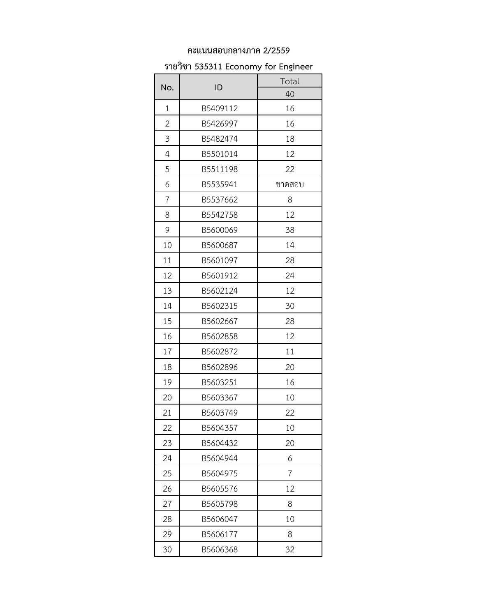#### **คะแนนสอบกลางภาค 2/2559**

### **รายวิชา 535311 Economy for Engineer**

| No.          | ID       | Total  |
|--------------|----------|--------|
|              |          | 40     |
| 1            | B5409112 | 16     |
| $\mathbf{2}$ | B5426997 | 16     |
| 3            | B5482474 | 18     |
| 4            | B5501014 | 12     |
| 5            | B5511198 | 22     |
| 6            | B5535941 | ขาดสอบ |
| 7            | B5537662 | 8      |
| 8            | B5542758 | 12     |
| 9            | B5600069 | 38     |
| 10           | B5600687 | 14     |
| 11           | B5601097 | 28     |
| 12           | B5601912 | 24     |
| 13           | B5602124 | 12     |
| 14           | B5602315 | 30     |
| 15           | B5602667 | 28     |
| 16           | B5602858 | 12     |
| 17           | B5602872 | 11     |
| 18           | B5602896 | 20     |
| 19           | B5603251 | 16     |
| 20           | B5603367 | 10     |
| 21           | B5603749 | 22     |
| 22           | B5604357 | 10     |
| 23           | B5604432 | 20     |
| 24           | B5604944 | 6      |
| 25           | B5604975 | 7      |
| 26           | B5605576 | 12     |
| 27           | B5605798 | 8      |
| 28           | B5606047 | 10     |
| 29           | B5606177 | 8      |
| 30           | B5606368 | 32     |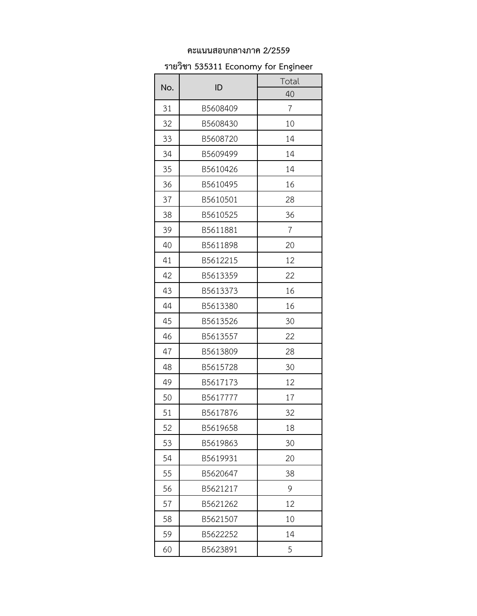### **คะแนนสอบกลางภาค 2/2559**

# **รายวิชา 535311 Economy for Engineer**

|     | ID       | Total |
|-----|----------|-------|
| No. |          | 40    |
| 31  | B5608409 | 7     |
| 32  | B5608430 | 10    |
| 33  | B5608720 | 14    |
| 34  | B5609499 | 14    |
| 35  | B5610426 | 14    |
| 36  | B5610495 | 16    |
| 37  | B5610501 | 28    |
| 38  | B5610525 | 36    |
| 39  | B5611881 | 7     |
| 40  | B5611898 | 20    |
| 41  | B5612215 | 12    |
| 42  | B5613359 | 22    |
| 43  | B5613373 | 16    |
| 44  | B5613380 | 16    |
| 45  | B5613526 | 30    |
| 46  | B5613557 | 22    |
| 47  | B5613809 | 28    |
| 48  | B5615728 | 30    |
| 49  | B5617173 | 12    |
| 50  | B5617777 | 17    |
| 51  | B5617876 | 32    |
| 52  | B5619658 | 18    |
| 53  | B5619863 | 30    |
| 54  | B5619931 | 20    |
| 55  | B5620647 | 38    |
| 56  | B5621217 | 9     |
| 57  | B5621262 | 12    |
| 58  | B5621507 | 10    |
| 59  | B5622252 | 14    |
| 60  | B5623891 | 5     |